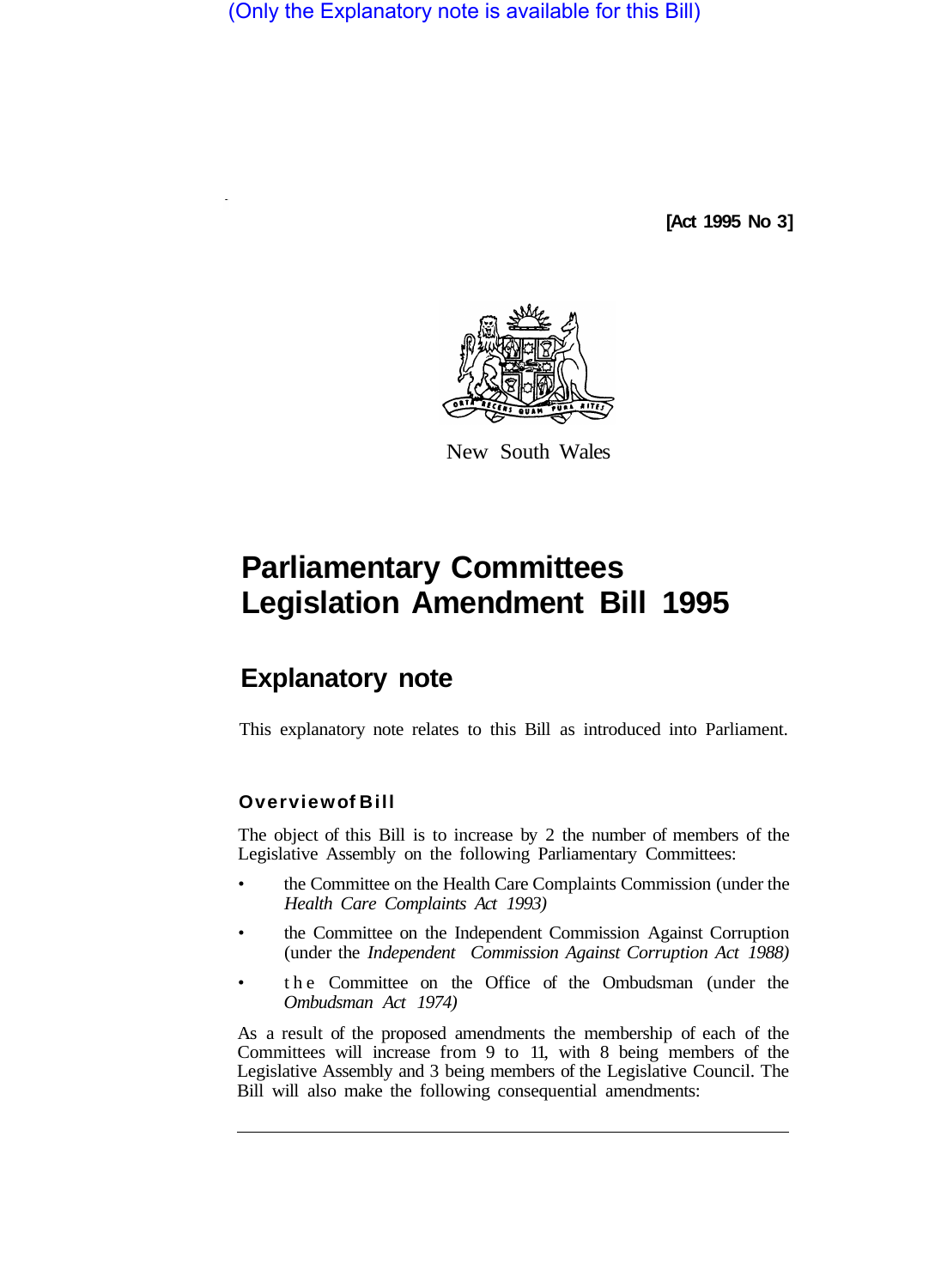(Only the Explanatory note is available for this Bill)

**[Act 1995 No 3]** 



New South Wales

## **Parliamentary Committees Legislation Amendment Bill 1995**

## **Explanatory note**

This explanatory note relates to this Bill as introduced into Parliament.

## **Overview of Bill**

The object of this Bill is to increase by 2 the number of members of the Legislative Assembly on the following Parliamentary Committees:

- the Committee on the Health Care Complaints Commission (under the *Health Care Complaints Act 1993)*
- the Committee on the Independent Commission Against Corruption (under the *Independent Commission Against Corruption Act 1988)*
- the Committee on the Office of the Ombudsman (under the *Ombudsman Act 1974)*

As a result of the proposed amendments the membership of each of the Committees will increase from 9 to 11, with 8 being members of the Legislative Assembly and 3 being members of the Legislative Council. The Bill will also make the following consequential amendments: